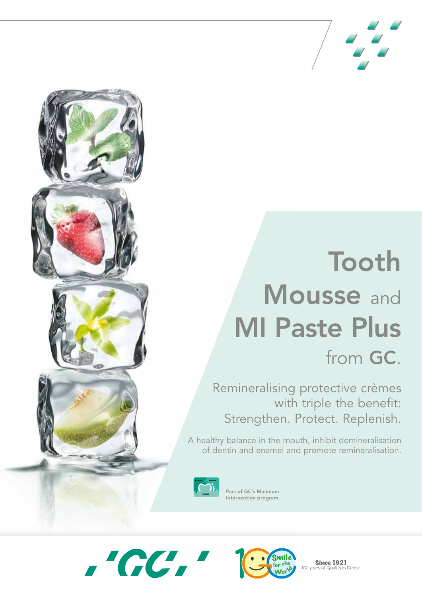

# Tooth Mousse and MI Paste Plus from GC.

Remineralising protective crèmes with triple the benefit: Strengthen. Protect. Replenish.

A healthy balance in the mouth, inhibit demineralisation of dentin and enamel and promote remineralisation.



Part of GC's Minimum Intervention program.





**Since 1921** 100 years of Quality in Dental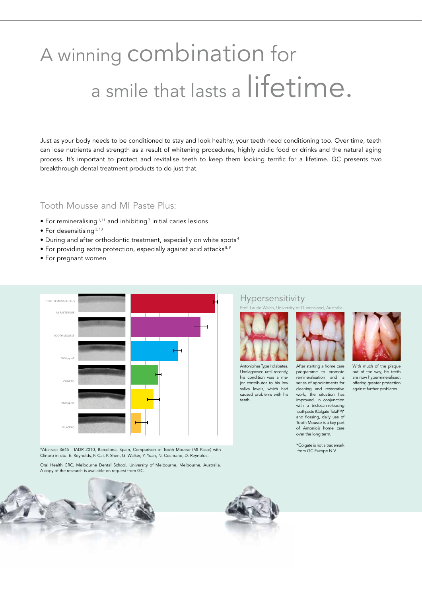## A winning combination for a smile that lasts a lifetime.

Just as your body needs to be conditioned to stay and look healthy, your teeth need conditioning too. Over time, teeth can lose nutrients and strength as a result of whitening procedures, highly acidic food or drinks and the natural aging process. It's important to protect and revitalise teeth to keep them looking terrific for a lifetime. GC presents two breakthrough dental treatment products to do just that.

#### Tooth Mousse and MI Paste Plus:

- $\bullet$  For remineralising  $^{1,11}$  and inhibiting  $^7$  initial caries lesions
- $\bullet$  For desensitising  $3,13$
- During and after orthodontic treatment, especially on white spots <sup>4</sup>
- For providing extra protection, especially against acid attacks<sup>8,9</sup>
- For pregnant women



\*Abstract 3645 - IADR 2010, Barcelona, Spain, Comparison of Tooth Mousse (MI Paste) with Clinpro in situ. E. Reynolds, F. Cai, P. Shen, G. Walker, Y. Yuan, N. Cochrane, D. Reynolds.

Oral Health CRC, Melbourne Dental School, University of Melbourne, Melbourne, Australia. A copy of the research is available on request from GC.





Hypersensitivity



Antonio has Type II diabetes. Undiagnosed until recently, his condition was a major contributor to his low saliva levels, which had caused problems with his teeth.



programme to promote remineralisation and a series of appointments for cleaning and restorative work, the situation has improved. In conjunction with a triclosan-releasing toothpaste (Colgate Total™)\* and flossing, daily use of Tooth Mousse is a key part of Antonio's home care over the long term.

With much of the plaque out of the way, his teeth are now hypermineralised, offering greater protection against further problems.

\*Colgate is not a trademark from GC Europe N.V.

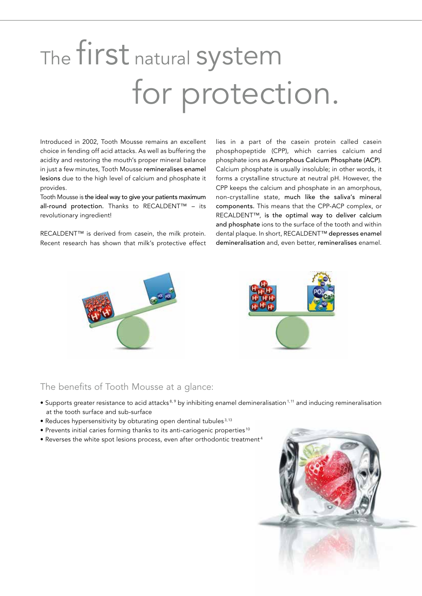# The first natural system for protection.

Introduced in 2002, Tooth Mousse remains an excellent choice in fending off acid attacks. As well as buffering the acidity and restoring the mouth's proper mineral balance in just a few minutes, Tooth Mousse remineralises enamel lesions due to the high level of calcium and phosphate it provides.

Tooth Mousse is the ideal way to give your patients maximum all-round protection. Thanks to RECALDENT™ – its revolutionary ingredient!

RECALDENT™ is derived from casein, the milk protein. Recent research has shown that milk's protective effect lies in a part of the casein protein called casein phosphopeptide (CPP), which carries calcium and phosphate ions as Amorphous Calcium Phosphate (ACP). Calcium phosphate is usually insoluble; in other words, it forms a crystalline structure at neutral pH. However, the CPP keeps the calcium and phosphate in an amorphous, non-crystalline state, much like the saliva's mineral components. This means that the CPP-ACP complex, or RECALDENT™, is the optimal way to deliver calcium and phosphate ions to the surface of the tooth and within dental plaque. In short, RECALDENT™ depresses enamel demineralisation and, even better, remineralises enamel.





#### The benefits of Tooth Mousse at a glance:

- Supports greater resistance to acid attacks<sup>8,9</sup> by inhibiting enamel demineralisation<sup>1,11</sup> and inducing remineralisation at the tooth surface and sub-surface
- Reduces hypersensitivity by obturating open dentinal tubules<sup>3,13</sup>
- Prevents initial caries forming thanks to its anti-cariogenic properties <sup>10</sup>
- Reverses the white spot lesions process, even after orthodontic treatment <sup>4</sup>

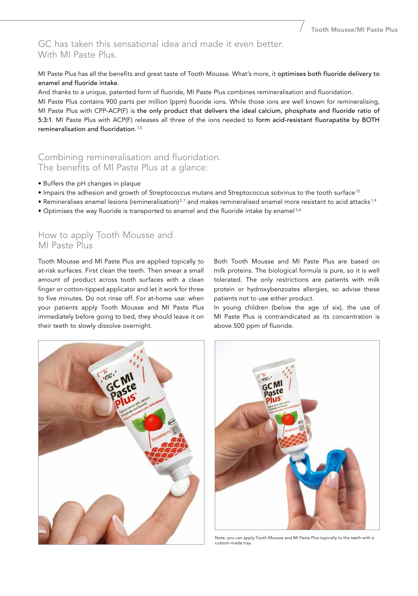#### GC has taken this sensational idea and made it even better. With MI Paste Plus.

MI Paste Plus has all the benefits and great taste of Tooth Mousse. What's more, it optimises both fluoride delivery to enamel and fluoride intake.

And thanks to a unique, patented form of fluoride, MI Paste Plus combines remineralisation and fluoridation. MI Paste Plus contains 900 parts per million (ppm) fluoride ions. While those ions are well known for remineralising, MI Paste Plus with CPP-ACP(F) is the only product that delivers the ideal calcium, phosphate and fluoride ratio of 5:3:1. MI Paste Plus with ACP(F) releases all three of the ions needed to form acid-resistant fluorapatite by BOTH remineralisation and fluoridation. 7,5

#### Combining remineralisation and fluoridation. The benefits of MI Paste Plus at a glance:

- Buffers the pH changes in plaque
- Impairs the adhesion and growth of Streptococcus mutans and Streptococcus sobrinus to the tooth surface<sup>12</sup>
- Remineralises enamel lesions (remineralisation)<sup>2,7</sup> and makes remineralised enamel more resistant to acid attacks<sup>1,9</sup>
- Optimises the way fluoride is transported to enamel and the fluoride intake by enamel<sup>5,6</sup>

#### How to apply Tooth Mousse and MI Paste Plus

Tooth Mousse and MI Paste Plus are applied topically to at-risk surfaces. First clean the teeth. Then smear a small amount of product across tooth surfaces with a clean finger or cotton-tipped applicator and let it work for three to five minutes. Do not rinse off. For at-home use: when your patients apply Tooth Mousse and MI Paste Plus immediately before going to bed, they should leave it on their teeth to slowly dissolve overnight.

Both Tooth Mousse and MI Paste Plus are based on milk proteins. The biological formula is pure, so it is well tolerated. The only restrictions are patients with milk protein or hydroxybenzoates allergies, so advise these patients not to use either product.

In young children (below the age of six), the use of MI Paste Plus is contraindicated as its concentration is above 500 ppm of fluoride.





Note: you can apply Tooth Mousse and MI Paste Plus topically to the teeth with a custom-made tray.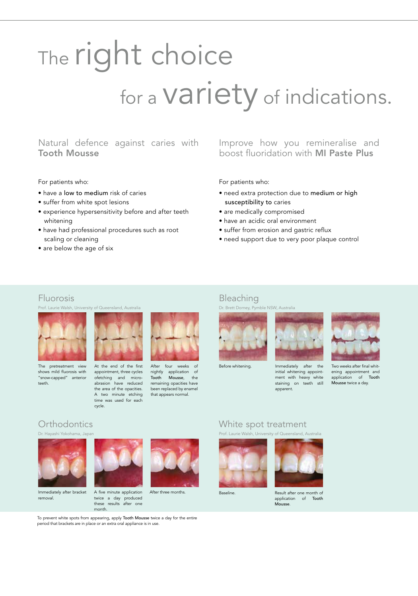# The right choice for a **Variety** of indications.

#### Natural defence against caries with Tooth Mousse

#### For patients who:

- have a low to medium risk of caries
- suffer from white spot lesions
- experience hypersensitivity before and after teeth whitening
- have had professional procedures such as root scaling or cleaning
- are below the age of six

#### Improve how you remineralise and boost fluoridation with MI Paste Plus

#### For patients who:

- need extra protection due to medium or high susceptibility to caries
- are medically compromised
- have an acidic oral environment
- suffer from erosion and gastric reflux
- need support due to very poor plaque control

#### Fluorosis

Prof. Laurie Walsh, University of Queensland, Australia



shows mild fluorosis with "snow-capped" anterior teeth.



appointment, three cycles ofetching and microabrasion have reduced the area of the opacities. A two minute etching time was used for each cycle.



After four weeks of nightly application of Tooth Mousse, the remaining opacities have been replaced by enamel that appears normal.



Bleaching



Before whitening. Immediately after the initial whitening appointment with heavy white staining on teeth still apparent.



Two weeks after final whitening appointment and application of Tooth Mousse twice a day.



Immediately after bracket removal.



these results after one

After three months.

#### Orthodontics White spot treatment Dr. Hayashi Yokohama, Japan Prof. Laurie Walsh, University of Queensland, Australia





Baseline. Result after one month of application of Tooth Mousse.